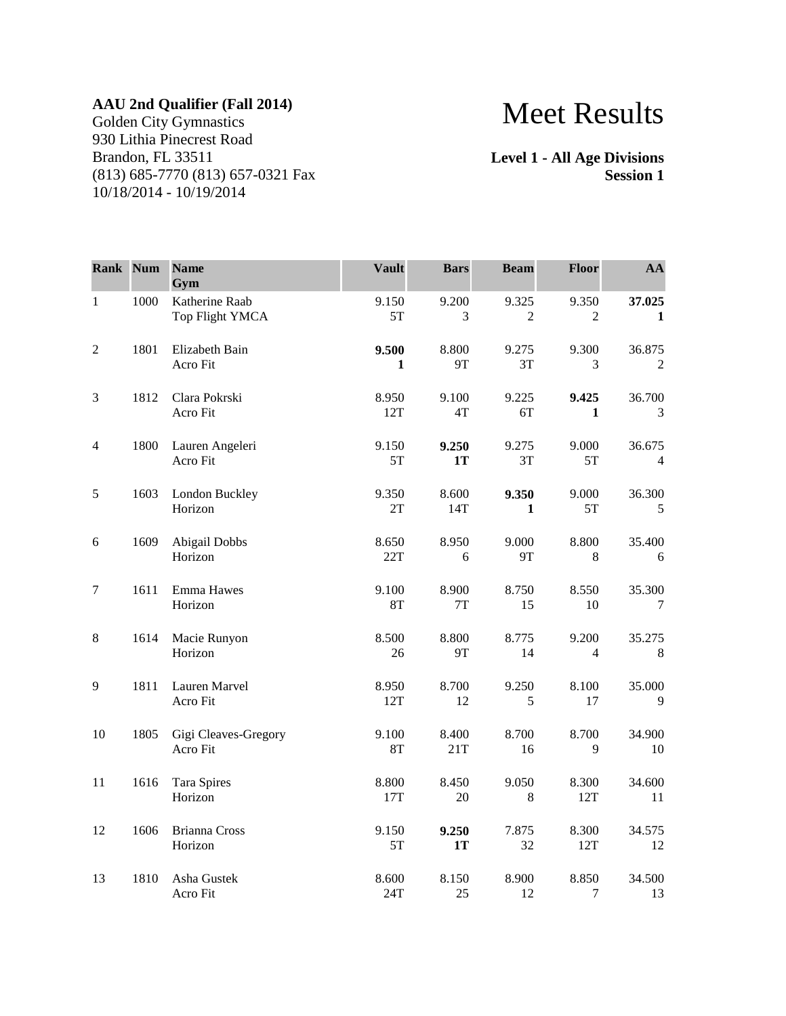## **AAU 2nd Qualifier (Fall 2014)**

Golden City Gymnastics 930 Lithia Pinecrest Road Brandon, FL 33511 (813) 685-7770 (813) 657-0321 Fax 10/18/2014 - 10/19/2014

## Meet Results

**Level 1 - All Age Divisions Session 1**

| Rank Num         |      | <b>Name</b><br>Gym                | <b>Vault</b>       | <b>Bars</b>            | <b>Beam</b>             | Floor                   | AA                       |
|------------------|------|-----------------------------------|--------------------|------------------------|-------------------------|-------------------------|--------------------------|
| $1\,$            | 1000 | Katherine Raab<br>Top Flight YMCA | 9.150<br>5T        | 9.200<br>3             | 9.325<br>$\overline{2}$ | 9.350<br>$\overline{2}$ | 37.025<br>1              |
| $\sqrt{2}$       | 1801 | Elizabeth Bain<br>Acro Fit        | 9.500<br>1         | 8.800<br>9T            | 9.275<br>3T             | 9.300<br>3              | 36.875<br>2              |
| 3                | 1812 | Clara Pokrski<br>Acro Fit         | 8.950<br>12T       | 9.100<br>$4\mathrm{T}$ | 9.225<br>6T             | 9.425<br>$\mathbf{1}$   | 36.700<br>3              |
| 4                | 1800 | Lauren Angeleri<br>Acro Fit       | 9.150<br>5T        | 9.250<br>1T            | 9.275<br>3T             | 9.000<br>5T             | 36.675<br>$\overline{4}$ |
| 5                | 1603 | London Buckley<br>Horizon         | 9.350<br>2T        | 8.600<br>14T           | 9.350<br>1              | 9.000<br>5T             | 36.300<br>5              |
| 6                | 1609 | Abigail Dobbs<br>Horizon          | 8.650<br>22T       | 8.950<br>6             | 9.000<br>9T             | 8.800<br>8              | 35.400<br>6              |
| $\boldsymbol{7}$ | 1611 | Emma Hawes<br>Horizon             | 9.100<br><b>8T</b> | 8.900<br>$7\mathrm{T}$ | 8.750<br>15             | 8.550<br>10             | 35.300<br>7              |
| 8                | 1614 | Macie Runyon<br>Horizon           | 8.500<br>26        | 8.800<br>9Τ            | 8.775<br>14             | 9.200<br>$\overline{4}$ | 35.275<br>$\,8\,$        |
| 9                | 1811 | Lauren Marvel<br>Acro Fit         | 8.950<br>12T       | 8.700<br>12            | 9.250<br>5              | 8.100<br>17             | 35.000<br>9              |
| $10\,$           | 1805 | Gigi Cleaves-Gregory<br>Acro Fit  | 9.100<br>8T        | 8.400<br>21T           | 8.700<br>16             | 8.700<br>9              | 34.900<br>10             |
| 11               | 1616 | Tara Spires<br>Horizon            | 8.800<br>17T       | 8.450<br>20            | 9.050<br>8              | 8.300<br>12T            | 34.600<br>11             |
| 12               | 1606 | <b>Brianna Cross</b><br>Horizon   | 9.150<br>5T        | 9.250<br>1T            | 7.875<br>32             | 8.300<br>12T            | 34.575<br>12             |
| 13               | 1810 | Asha Gustek<br>Acro Fit           | 8.600<br>24T       | 8.150<br>25            | 8.900<br>12             | 8.850<br>7              | 34.500<br>13             |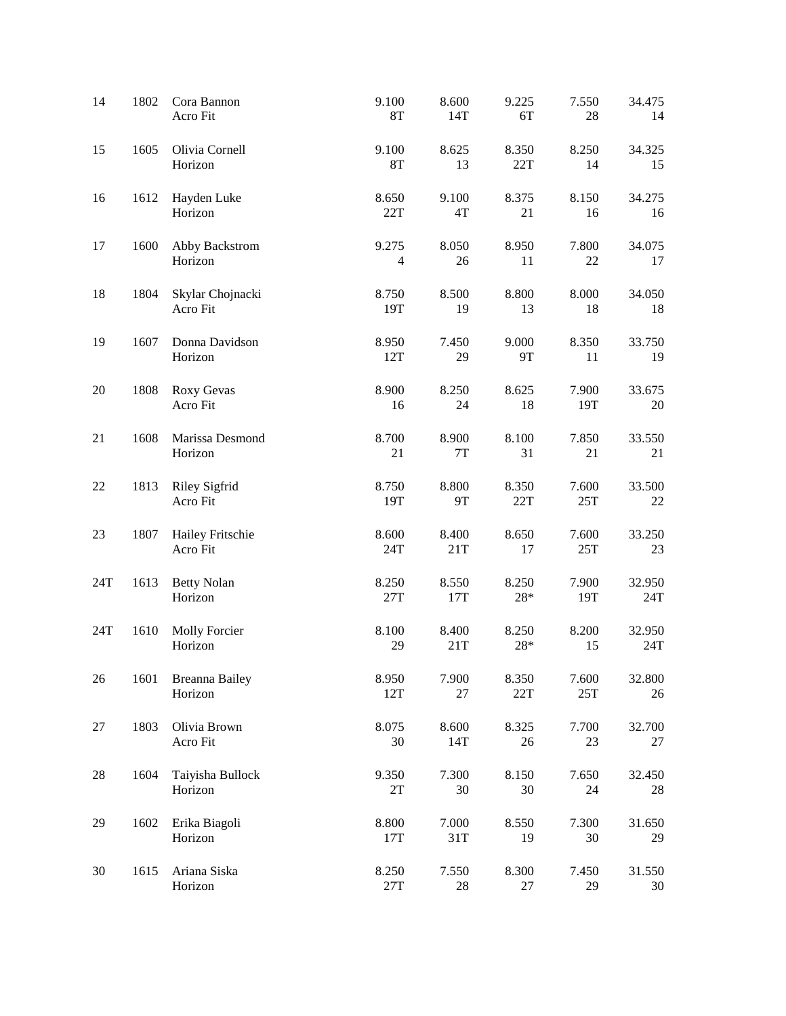| 14  | 1802 | Cora Bannon<br>Acro Fit          | 9.100<br><b>8T</b>      | 8.600<br>14T           | 9.225<br>6T    | 7.550<br>$28\,$ | 34.475<br>14  |
|-----|------|----------------------------------|-------------------------|------------------------|----------------|-----------------|---------------|
| 15  | 1605 | Olivia Cornell<br>Horizon        | 9.100<br><b>8T</b>      | 8.625<br>13            | 8.350<br>22T   | 8.250<br>14     | 34.325<br>15  |
| 16  | 1612 | Hayden Luke<br>Horizon           | 8.650<br>22T            | 9.100<br>$4\mathrm{T}$ | 8.375<br>21    | 8.150<br>16     | 34.275<br>16  |
| 17  | 1600 | Abby Backstrom<br>Horizon        | 9.275<br>$\overline{4}$ | 8.050<br>26            | 8.950<br>11    | 7.800<br>22     | 34.075<br>17  |
| 18  | 1804 | Skylar Chojnacki<br>Acro Fit     | 8.750<br>19T            | 8.500<br>19            | 8.800<br>13    | 8.000<br>18     | 34.050<br>18  |
| 19  | 1607 | Donna Davidson<br>Horizon        | 8.950<br>12T            | 7.450<br>29            | 9.000<br>9T    | 8.350<br>11     | 33.750<br>19  |
| 20  | 1808 | Roxy Gevas<br>Acro Fit           | 8.900<br>16             | 8.250<br>24            | 8.625<br>18    | 7.900<br>19T    | 33.675<br>20  |
| 21  | 1608 | Marissa Desmond<br>Horizon       | 8.700<br>21             | 8.900<br>$7\mathrm{T}$ | 8.100<br>31    | 7.850<br>21     | 33.550<br>21  |
| 22  | 1813 | <b>Riley Sigfrid</b><br>Acro Fit | 8.750<br>19T            | 8.800<br>9T            | 8.350<br>22T   | 7.600<br>25T    | 33.500<br>22  |
| 23  | 1807 | Hailey Fritschie<br>Acro Fit     | 8.600<br>24T            | 8.400<br>21T           | 8.650<br>17    | 7.600<br>25T    | 33.250<br>23  |
| 24T | 1613 | <b>Betty Nolan</b><br>Horizon    | 8.250<br>$27\mathrm{T}$ | 8.550<br>17T           | 8.250<br>$28*$ | 7.900<br>19T    | 32.950<br>24T |
| 24T | 1610 | Molly Forcier<br>Horizon         | 8.100<br>29             | 8.400<br>21T           | 8.250<br>28*   | 8.200<br>15     | 32.950<br>24T |
| 26  | 1601 | <b>Breanna Bailey</b><br>Horizon | 8.950<br>12T            | 7.900<br>27            | 8.350<br>22T   | 7.600<br>25T    | 32.800<br>26  |
| 27  | 1803 | Olivia Brown<br>Acro Fit         | 8.075<br>30             | 8.600<br>14T           | 8.325<br>26    | 7.700<br>23     | 32.700<br>27  |
| 28  | 1604 | Taiyisha Bullock<br>Horizon      | 9.350<br>$2\mathrm{T}$  | 7.300<br>30            | 8.150<br>30    | 7.650<br>24     | 32.450<br>28  |
| 29  | 1602 | Erika Biagoli<br>Horizon         | 8.800<br>17T            | 7.000<br>31T           | 8.550<br>19    | 7.300<br>30     | 31.650<br>29  |
| 30  | 1615 | Ariana Siska<br>Horizon          | 8.250<br>27T            | 7.550<br>28            | 8.300<br>27    | 7.450<br>29     | 31.550<br>30  |